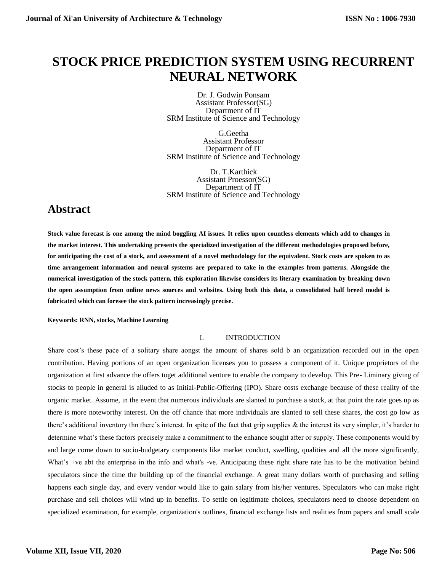# **STOCK PRICE PREDICTION SYSTEM USING RECURRENT NEURAL NETWORK**

Dr. J. Godwin Ponsam Assistant Professor(SG) Department of IT SRM Institute of Science and Technology

G.Geetha Assistant Professor Department of IT SRM Institute of Science and Technology

Dr. T.Karthick Assistant Proessor(SG) Department of IT SRM Institute of Science and Technology

# **Abstract**

**Stock value forecast is one among the mind boggling AI issues. It relies upon countless elements which add to changes in the market interest. This undertaking presents the specialized investigation of the different methodologies proposed before, for anticipating the cost of a stock, and assessment of a novel methodology for the equivalent. Stock costs are spoken to as time arrangement information and neural systems are prepared to take in the examples from patterns. Alongside the numerical investigation of the stock pattern, this exploration likewise considers its literary examination by breaking down the open assumption from online news sources and websites. Using both this data, a consolidated half breed model is fabricated which can foresee the stock pattern increasingly precise.**

**Keywords: RNN, stocks, Machine Learning**

## I. INTRODUCTION

Share cost's these pace of a solitary share aongst the amount of shares sold b an organization recorded out in the open contribution. Having portions of an open organization licenses you to possess a component of it. Unique proprietors of the organization at first advance the offers toget additional venture to enable the company to develop. This Pre- Liminary giving of stocks to people in general is alluded to as Initial-Public-Offering (IPO). Share costs exchange because of these reality of the organic market. Assume, in the event that numerous individuals are slanted to purchase a stock, at that point the rate goes up as there is more noteworthy interest. On the off chance that more individuals are slanted to sell these shares, the cost go low as there's additional inventory thn there's interest. In spite of the fact that grip supplies & the interest its very simpler, it's harder to determine what's these factors precisely make a commitment to the enhance sought after or supply. These components would by and large come down to socio-budgetary components like market conduct, swelling, qualities and all the more significantly, What's +ve abt the enterprise in the info and what's -ve. Anticipating these right share rate has to be the motivation behind speculators since the time the building up of the financial exchange. A great many dollars worth of purchasing and selling happens each single day, and every vendor would like to gain salary from his/her ventures. Speculators who can make right purchase and sell choices will wind up in benefits. To settle on legitimate choices, speculators need to choose dependent on specialized examination, for example, organization's outlines, financial exchange lists and realities from papers and small scale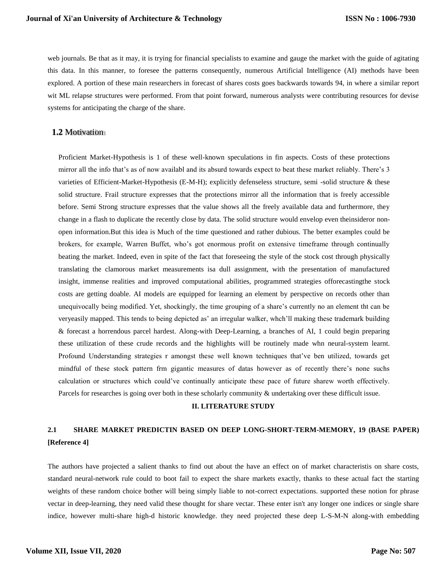web journals. Be that as it may, it is trying for financial specialists to examine and gauge the market with the guide of agitating this data. In this manner, to foresee the patterns consequently, numerous Artificial Intelligence (AI) methods have been explored. A portion of these main researchers in forecast of shares costs goes backwards towards 94, in where a similar report wit ML relapse structures were performed. From that point forward, numerous analysts were contributing resources for devise systems for anticipating the charge of the share.

## **1.2** Motivation

Proficient Market-Hypothesis is 1 of these well-known speculations in fin aspects. Costs of these protections mirror all the info that's as of now availabl and its absurd towards expect to beat these market reliably. There's 3 varieties of Efficient-Market-Hypothesis (E-M-H); explicitly defenseless structure, semi -solid structure & these solid structure. Frail structure expresses that the protections mirror all the information that is freely accessible before. Semi Strong structure expresses that the value shows all the freely available data and furthermore, they change in a flash to duplicate the recently close by data. The solid structure would envelop even theinsideror nonopen information.But this idea is Much of the time questioned and rather dubious. The better examples could be brokers, for example, Warren Buffet, who's got enormous profit on extensive timeframe through continually beating the market. Indeed, even in spite of the fact that foreseeing the style of the stock cost through physically translating the clamorous market measurements isa dull assignment, with the presentation of manufactured insight, immense realities and improved computational abilities, programmed strategies offorecastingthe stock costs are getting doable. AI models are equipped for learning an element by perspective on records other than unequivocally being modified. Yet, shockingly, the time grouping of a share's currently no an element tht can be veryeasily mapped. This tends to being depicted as' an irregular walker, whch'll making these trademark building & forecast a horrendous parcel hardest. Along-with Deep-Learning, a branches of AI, 1 could begin preparing these utilization of these crude records and the highlights will be routinely made whn neural-system learnt. Profound Understanding strategies r amongst these well known techniques that've ben utilized, towards get mindful of these stock pattern frm gigantic measures of datas however as of recently there's none suchs calculation or structures which could've continually anticipate these pace of future sharew worth effectively. Parcels for researches is going over both in these scholarly community & undertaking over these difficult issue.

#### **II. LITERATURE STUDY**

# **2.1 SHARE MARKET PREDICTIN BASED ON DEEP LONG-SHORT-TERM-MEMORY, 19 (BASE PAPER) [Reference 4]**

The authors have projected a salient thanks to find out about the have an effect on of market characteristis on share costs, standard neural-network rule could to boot fail to expect the share markets exactly, thanks to these actual fact the starting weights of these random choice bother will being simply liable to not-correct expectations. supported these notion for phrase vectar in deep-learning, they need valid these thought for share vectar. These enter isn't any longer one indices or single share indice, however multi-share high-d historic knowledge. they need projected these deep L-S-M-N along-with embedding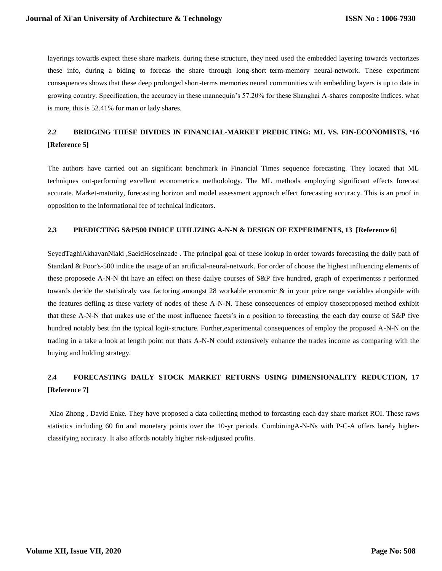layerings towards expect these share markets. during these structure, they need used the embedded layering towards vectorizes these info, during a biding to forecas the share through long-short–term-memory neural-network. These experiment consequences shows that these deep prolonged short-terms memories neural communities with embedding layers is up to date in growing country. Specification, the accuracy in these mannequin's 57.20% for these Shanghai A-shares composite indices. what is more, this is 52.41% for man or lady shares.

# **2.2 BRIDGING THESE DIVIDES IN FINANCIAL-MARKET PREDICTING: ML VS. FIN-ECONOMISTS, '16 [Reference 5]**

The authors have carried out an significant benchmark in Financial Times sequence forecasting. They located that ML techniques out-performing excellent econometrica methodology. The ML methods employing significant effects forecast accurate. Market-maturity, forecasting horizon and model assessment approach effect forecasting accuracy. This is an proof in opposition to the informational fee of technical indicators.

### **2.3 PREDICTING S&P500 INDICE UTILIZING A-N-N & DESIGN OF EXPERIMENTS, 13 [Reference 6]**

SeyedTaghiAkhavanNiaki ,SaeidHoseinzade . The principal goal of these lookup in order towards forecasting the daily path of Standard & Poor's-500 indice the usage of an artificial-neural-network. For order of choose the highest influencing elements of these proposede A-N-N tht have an effect on these dailye courses of S&P five hundred, graph of experimentss r performed towards decide the statisticaly vast factoring amongst 28 workable economic & in your price range variables alongside with the features defiing as these variety of nodes of these A-N-N. These consequences of employ thoseproposed method exhibit that these A-N-N that makes use of the most influence facets's in a position to forecasting the each day course of S&P five hundred notably best thn the typical logit-structure. Further,experimental consequences of employ the proposed A-N-N on the trading in a take a look at length point out thats A-N-N could extensively enhance the trades income as comparing with the buying and holding strategy.

# **2.4 FORECASTING DAILY STOCK MARKET RETURNS USING DIMENSIONALITY REDUCTION, 17 [Reference 7]**

Xiao Zhong , David Enke. They have proposed a data collecting method to forcasting each day share market ROI. These raws statistics including 60 fin and monetary points over the 10-yr periods. CombiningA-N-Ns with P-C-A offers barely higherclassifying accuracy. It also affords notably higher risk-adjusted profits.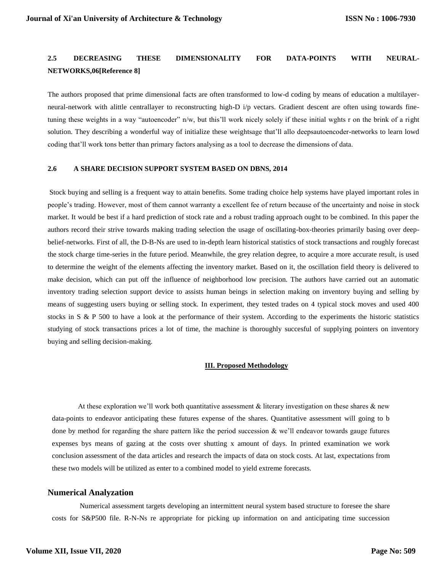# **2.5 DECREASING THESE DIMENSIONALITY FOR DATA-POINTS WITH NEURAL-NETWORKS,06[Reference 8]**

The authors proposed that prime dimensional facts are often transformed to low-d coding by means of education a multilayerneural-network with alittle centrallayer to reconstructing high-D i/p vectars. Gradient descent are often using towards finetuning these weights in a way "autoencoder" n/w, but this'll work nicely solely if these initial wghts r on the brink of a right solution. They describing a wonderful way of initialize these weightsage that'll allo deepsautoencoder-networks to learn lowd coding that'll work tons better than primary factors analysing as a tool to decrease the dimensions of data.

#### **2.6 A SHARE DECISION SUPPORT SYSTEM BASED ON DBNS, 2014**

Stock buying and selling is a frequent way to attain benefits. Some trading choice help systems have played important roles in people's trading. However, most of them cannot warranty a excellent fee of return because of the uncertainty and noise in stock market. It would be best if a hard prediction of stock rate and a robust trading approach ought to be combined. In this paper the authors record their strive towards making trading selection the usage of oscillating-box-theories primarily basing over deepbelief-networks. First of all, the D-B-Ns are used to in-depth learn historical statistics of stock transactions and roughly forecast the stock charge time-series in the future period. Meanwhile, the grey relation degree, to acquire a more accurate result, is used to determine the weight of the elements affecting the inventory market. Based on it, the oscillation field theory is delivered to make decision, which can put off the influence of neighborhood low precision. The authors have carried out an automatic inventory trading selection support device to assists human beings in selection making on inventory buying and selling by means of suggesting users buying or selling stock. In experiment, they tested trades on 4 typical stock moves and used 400 stocks in S & P 500 to have a look at the performance of their system. According to the experiments the historic statistics studying of stock transactions prices a lot of time, the machine is thoroughly succesful of supplying pointers on inventory buying and selling decision-making.

#### **III. Proposed Methodology**

At these exploration we'll work both quantitative assessment & literary investigation on these shares  $\&$  new data-points to endeavor anticipating these futures expense of the shares. Quantitative assessment will going to b done by method for regarding the share pattern like the period succession  $\&$  we'll endeavor towards gauge futures expenses bys means of gazing at the costs over shutting x amount of days. In printed examination we work conclusion assessment of the data articles and research the impacts of data on stock costs. At last, expectations from these two models will be utilized as enter to a combined model to yield extreme forecasts.

#### **Numerical Analyzation**

Numerical assessment targets developing an intermittent neural system based structure to foresee the share costs for S&P500 file. R-N-Ns re appropriate for picking up information on and anticipating time succession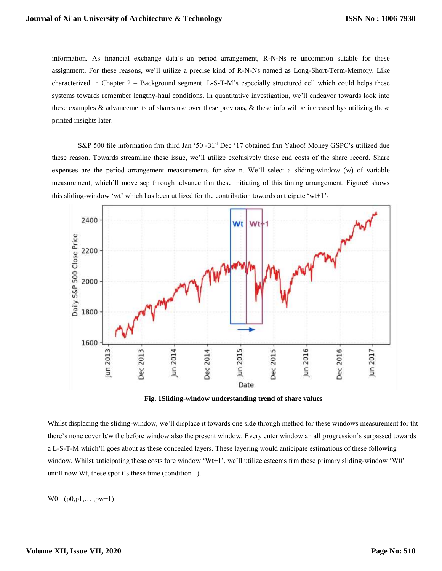information. As financial exchange data's an period arrangement, R-N-Ns re uncommon sutable for these assignment. For these reasons, we'll utilize a precise kind of R-N-Ns named as Long-Short-Term-Memory. Like characterized in Chapter 2 – Background segment, L-S-T-M's especially structured cell which could helps these systems towards remember lengthy-haul conditions. In quantitative investigation, we'll endeavor towards look into these examples & advancements of shares use over these previous, & these info wil be increased bys utilizing these printed insights later.

S&P 500 file information frm third Jan '50 -31st Dec '17 obtained frm Yahoo! Money GSPC's utilized due these reason. Towards streamline these issue, we'll utilize exclusively these end costs of the share record. Share expenses are the period arrangement measurements for size n. We'll select a sliding-window (w) of variable measurement, which'll move sep through advance frm these initiating of this timing arrangement. Figure6 shows this sliding-window 'wt' which has been utilized for the contribution towards anticipate 'wt+1'.



**Fig. 1Sliding-window understanding trend of share values**

Whilst displacing the sliding-window, we'll displace it towards one side through method for these windows measurement for tht there's none cover b/w the before window also the present window. Every enter window an all progression's surpassed towards a L-S-T-M which'll goes about as these concealed layers. These layering would anticipate estimations of these following window. Whilst anticipating these costs fore window 'Wt+1', we'll utilize esteems frm these primary sliding-window 'W0' untill now Wt, these spot t's these time (condition 1).

 $W0 = (p0,p1,...,pw-1)$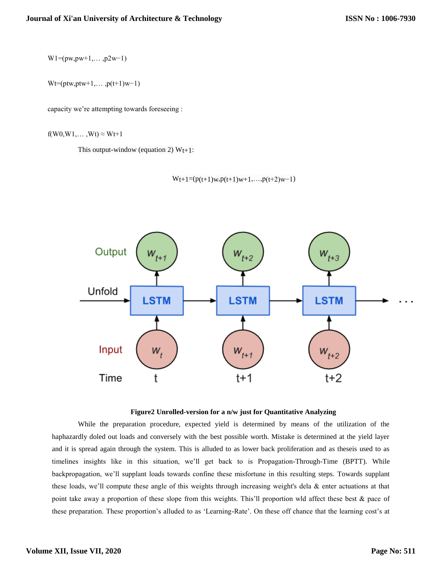$W1=(pw, pw+1, \ldots, p2w-1)$ 

 $Wt=(ptw,ptw+1,...,p(t+1)w-1)$ 

capacity we're attempting towards foreseeing :

 $f(W0,W1,...,Wt) \approx Wt+1$ 

This output-window (equation 2)  $Wt+1$ :

```
Wt+1=(p(t+1)w,p(t+1)w+1,...,p(t+2)w-1)
```


### **Figure2 Unrolled-version for a n/w just for Quantitative Analyzing**

While the preparation procedure, expected yield is determined by means of the utilization of the haphazardly doled out loads and conversely with the best possible worth. Mistake is determined at the yield layer and it is spread again through the system. This is alluded to as lower back proliferation and as theseis used to as timelines insights like in this situation, we'll get back to is Propagation-Through-Time (BPTT). While backpropagation, we'll supplant loads towards confine these misfortune in this resulting steps. Towards supplant these loads, we'll compute these angle of this weights through increasing weight's dela & enter actuations at that point take away a proportion of these slope from this weights. This'll proportion wld affect these best & pace of these preparation. These proportion's alluded to as 'Learning-Rate'. On these off chance that the learning cost's at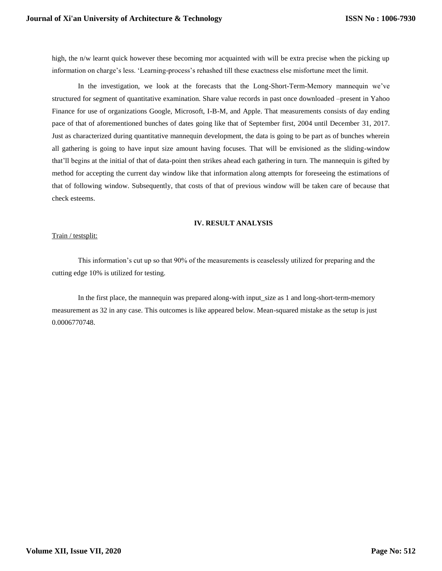high, the n/w learnt quick however these becoming mor acquainted with will be extra precise when the picking up information on charge's less. 'Learning-process's rehashed till these exactness else misfortune meet the limit.

In the investigation, we look at the forecasts that the Long-Short-Term-Memory mannequin we've structured for segment of quantitative examination. Share value records in past once downloaded –present in Yahoo Finance for use of organizations Google, Microsoft, I-B-M, and Apple. That measurements consists of day ending pace of that of aforementioned bunches of dates going like that of September first, 2004 until December 31, 2017. Just as characterized during quantitative mannequin development, the data is going to be part as of bunches wherein all gathering is going to have input size amount having focuses. That will be envisioned as the sliding-window that'll begins at the initial of that of data-point then strikes ahead each gathering in turn. The mannequin is gifted by method for accepting the current day window like that information along attempts for foreseeing the estimations of that of following window. Subsequently, that costs of that of previous window will be taken care of because that check esteems.

### **IV. RESULT ANALYSIS**

#### Train / testsplit:

This information's cut up so that 90% of the measurements is ceaselessly utilized for preparing and the cutting edge 10% is utilized for testing.

In the first place, the mannequin was prepared along-with input\_size as 1 and long-short-term-memory measurement as 32 in any case. This outcomes is like appeared below. Mean-squared mistake as the setup is just 0.0006770748.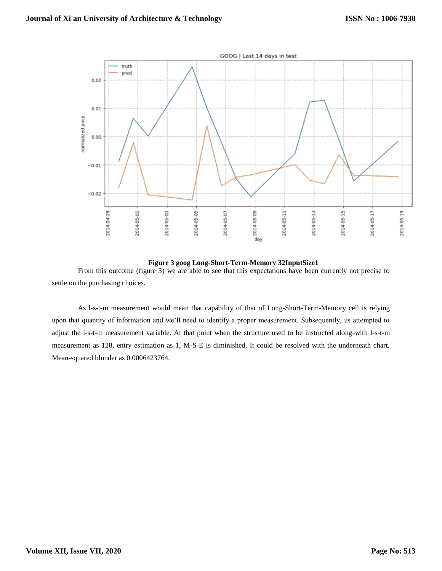

**Figure 3 goog Long-Short-Term-Memory 32InputSize1** From this outcome (figure 3) we are able to see that this expectations have been currently not precise to settle on the purchasing choices.

As l-s-t-m measurement would mean that capability of that of Long-Short-Term-Memory cell is relying upon that quantity of information and we'll need to identify a proper measurement. Subsequently, us attempted to adjust the l-s-t-m measurement variable. At that point when the structure used to be instructed along-with l-s-t-m measurement as 128, entry estimation as 1, M-S-E is diminished. It could be resolved with the underneath chart. Mean-squared blunder as 0.0006423764.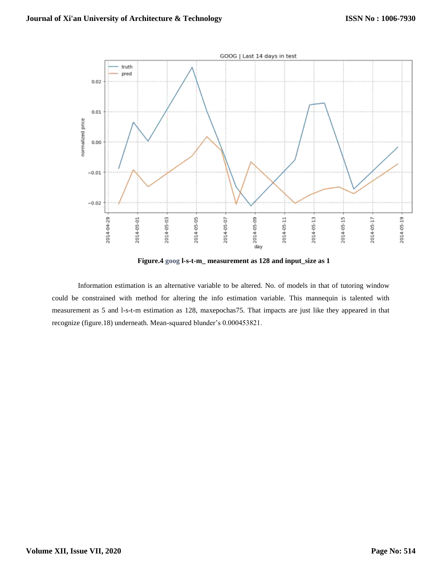

**Figure.4 goog l-s-t-m\_ measurement as 128 and input\_size as 1**

Information estimation is an alternative variable to be altered. No. of models in that of tutoring window could be constrained with method for altering the info estimation variable. This mannequin is talented with measurement as 5 and l-s-t-m estimation as 128, maxepochas75. That impacts are just like they appeared in that recognize (figure.18) underneath. Mean-squared blunder's 0.000453821.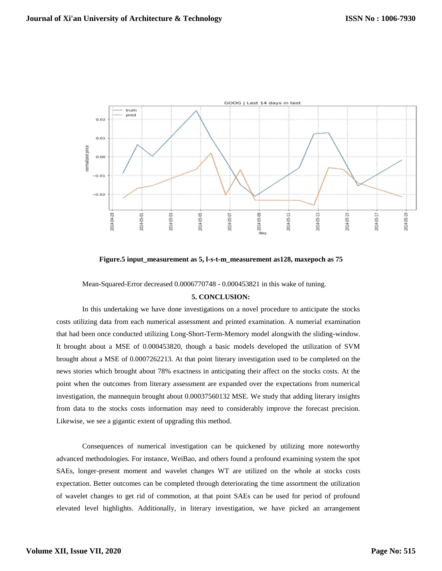

**Figure.5 input\_measurement as 5, l-s-t-m\_measurement as128, maxepoch as 75**

Mean-Squared-Error decreased 0.0006770748 - 0.000453821 in this wake of tuning.

#### **5. CONCLUSION:**

In this undertaking we have done investigations on a novel procedure to anticipate the stocks costs utilizing data from each numerical assessment and printed examination. A numerial examination that had been once conducted utilizing Long-Short-Term-Memory model alongwith the sliding-window. It brought about a MSE of 0.000453820, though a basic models developed the utilization of SVM brought about a MSE of 0.0007262213. At that point literary investigation used to be completed on the news stories which brought about 78% exactness in anticipating their affect on the stocks costs. At the point when the outcomes from literary assessment are expanded over the expectations from numerical investigation, the mannequin brought about 0.00037560132 MSE. We study that adding literary insights from data to the stocks costs information may need to considerably improve the forecast precision. Likewise, we see a gigantic extent of upgrading this method.

Consequences of numerical investigation can be quickened by utilizing more noteworthy advanced methodologies. For instance, WeiBao, and others found a profound examining system the spot SAEs, longer-present moment and wavelet changes WT are utilized on the whole at stocks costs expectation. Better outcomes can be completed through deteriorating the time assortment the utilization of wavelet changes to get rid of commotion, at that point SAEs can be used for period of profound elevated level highlights. Additionally, in literary investigation, we have picked an arrangement